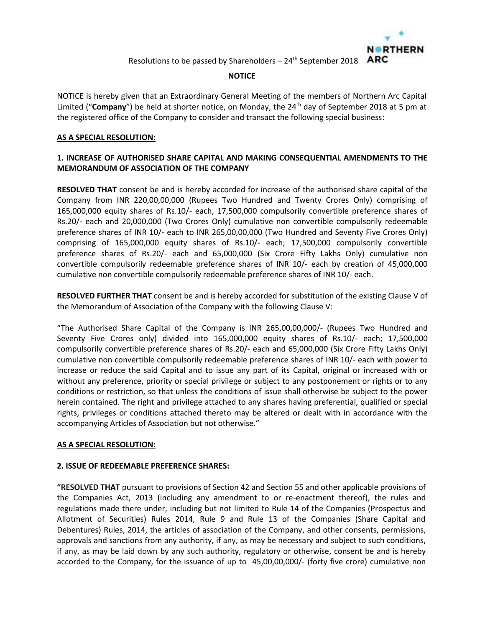

### **NOTICE**

NOTICE is hereby given that an Extraordinary General Meeting of the members of Northern Arc Capital Limited ("Company") be held at shorter notice, on Monday, the 24<sup>th</sup> day of September 2018 at 5 pm at the registered office of the Company to consider and transact the following special business:

### **AS A SPECIAL RESOLUTION:**

# **1. INCREASE OF AUTHORISED SHARE CAPITAL AND MAKING CONSEQUENTIAL AMENDMENTS TO THE MEMORANDUM OF ASSOCIATION OF THE COMPANY**

**RESOLVED THAT** consent be and is hereby accorded for increase of the authorised share capital of the Company from INR 220,00,00,000 (Rupees Two Hundred and Twenty Crores Only) comprising of 165,000,000 equity shares of Rs.10/- each, 17,500,000 compulsorily convertible preference shares of Rs.20/- each and 20,000,000 (Two Crores Only) cumulative non convertible compulsorily redeemable preference shares of INR 10/- each to INR 265,00,00,000 (Two Hundred and Seventy Five Crores Only) comprising of 165,000,000 equity shares of Rs.10/- each; 17,500,000 compulsorily convertible preference shares of Rs.20/- each and 65,000,000 (Six Crore Fifty Lakhs Only) cumulative non convertible compulsorily redeemable preference shares of INR 10/- each by creation of 45,000,000 cumulative non convertible compulsorily redeemable preference shares of INR 10/- each.

**RESOLVED FURTHER THAT** consent be and is hereby accorded for substitution of the existing Clause V of the Memorandum of Association of the Company with the following Clause V:

"The Authorised Share Capital of the Company is INR 265,00,00,000/- (Rupees Two Hundred and Seventy Five Crores only) divided into 165,000,000 equity shares of Rs.10/- each; 17,500,000 compulsorily convertible preference shares of Rs.20/- each and 65,000,000 (Six Crore Fifty Lakhs Only) cumulative non convertible compulsorily redeemable preference shares of INR 10/- each with power to increase or reduce the said Capital and to issue any part of its Capital, original or increased with or without any preference, priority or special privilege or subject to any postponement or rights or to any conditions or restriction, so that unless the conditions of issue shall otherwise be subject to the power herein contained. The right and privilege attached to any shares having preferential, qualified or special rights, privileges or conditions attached thereto may be altered or dealt with in accordance with the accompanying Articles of Association but not otherwise."

#### **AS A SPECIAL RESOLUTION:**

### **2. ISSUE OF REDEEMABLE PREFERENCE SHARES:**

**"RESOLVED THAT** pursuant to provisions of Section 42 and Section 55 and other applicable provisions of the Companies Act, 2013 (including any amendment to or re-enactment thereof), the rules and regulations made there under, including but not limited to Rule 14 of the Companies (Prospectus and Allotment of Securities) Rules 2014, Rule 9 and Rule 13 of the Companies (Share Capital and Debentures) Rules, 2014, the articles of association of the Company, and other consents, permissions, approvals and sanctions from any authority, if any, as may be necessary and subject to such conditions, if any, as may be laid down by any such authority, regulatory or otherwise, consent be and is hereby accorded to the Company, for the issuance of up to 45,00,00,000/- (forty five crore) cumulative non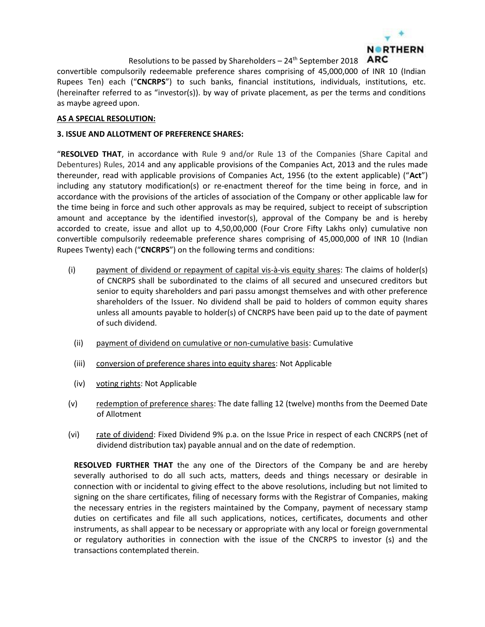

convertible compulsorily redeemable preference shares comprising of 45,000,000 of INR 10 (Indian Rupees Ten) each ("**CNCRPS**") to such banks, financial institutions, individuals, institutions, etc. (hereinafter referred to as "investor(s)). by way of private placement, as per the terms and conditions as maybe agreed upon.

### **AS A SPECIAL RESOLUTION:**

#### **3. ISSUE AND ALLOTMENT OF PREFERENCE SHARES:**

"**RESOLVED THAT**, in accordance with Rule 9 and/or Rule 13 of the Companies (Share Capital and Debentures) Rules, 2014 and any applicable provisions of the Companies Act, 2013 and the rules made thereunder, read with applicable provisions of Companies Act, 1956 (to the extent applicable) ("**Act**") including any statutory modification(s) or re-enactment thereof for the time being in force, and in accordance with the provisions of the articles of association of the Company or other applicable law for the time being in force and such other approvals as may be required, subject to receipt of subscription amount and acceptance by the identified investor(s), approval of the Company be and is hereby accorded to create, issue and allot up to 4,50,00,000 (Four Crore Fifty Lakhs only) cumulative non convertible compulsorily redeemable preference shares comprising of 45,000,000 of INR 10 (Indian Rupees Twenty) each ("**CNCRPS**") on the following terms and conditions:

- (i) payment of dividend or repayment of capital vis-à-vis equity shares: The claims of holder(s) of CNCRPS shall be subordinated to the claims of all secured and unsecured creditors but senior to equity shareholders and pari passu amongst themselves and with other preference shareholders of the Issuer. No dividend shall be paid to holders of common equity shares unless all amounts payable to holder(s) of CNCRPS have been paid up to the date of payment of such dividend.
	- (ii) payment of dividend on cumulative or non-cumulative basis: Cumulative
	- (iii) conversion of preference shares into equity shares: Not Applicable
	- (iv) voting rights: Not Applicable
- (v) redemption of preference shares: The date falling 12 (twelve) months from the Deemed Date of Allotment
- (vi) rate of dividend: Fixed Dividend 9% p.a. on the Issue Price in respect of each CNCRPS (net of dividend distribution tax) payable annual and on the date of redemption.

**RESOLVED FURTHER THAT** the any one of the Directors of the Company be and are hereby severally authorised to do all such acts, matters, deeds and things necessary or desirable in connection with or incidental to giving effect to the above resolutions, including but not limited to signing on the share certificates, filing of necessary forms with the Registrar of Companies, making the necessary entries in the registers maintained by the Company, payment of necessary stamp duties on certificates and file all such applications, notices, certificates, documents and other instruments, as shall appear to be necessary or appropriate with any local or foreign governmental or regulatory authorities in connection with the issue of the CNCRPS to investor (s) and the transactions contemplated therein.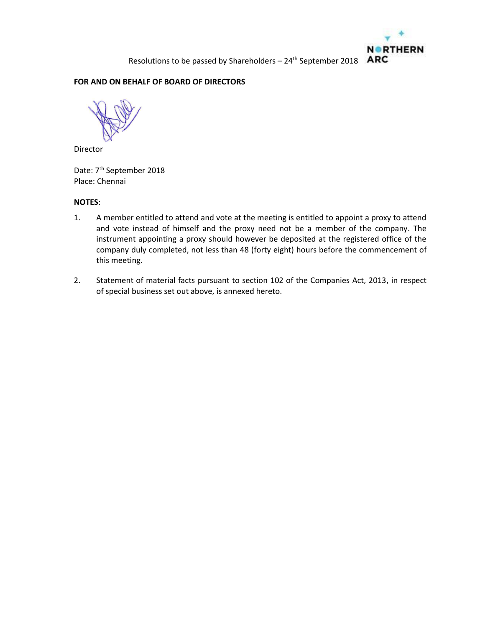### **FOR AND ON BEHALF OF BOARD OF DIRECTORS**

Director

Date: 7<sup>th</sup> September 2018 Place: Chennai

# **NOTES**:

- 1. A member entitled to attend and vote at the meeting is entitled to appoint a proxy to attend and vote instead of himself and the proxy need not be a member of the company. The instrument appointing a proxy should however be deposited at the registered office of the company duly completed, not less than 48 (forty eight) hours before the commencement of this meeting.
- 2. Statement of material facts pursuant to section 102 of the Companies Act, 2013, in respect of special business set out above, is annexed hereto.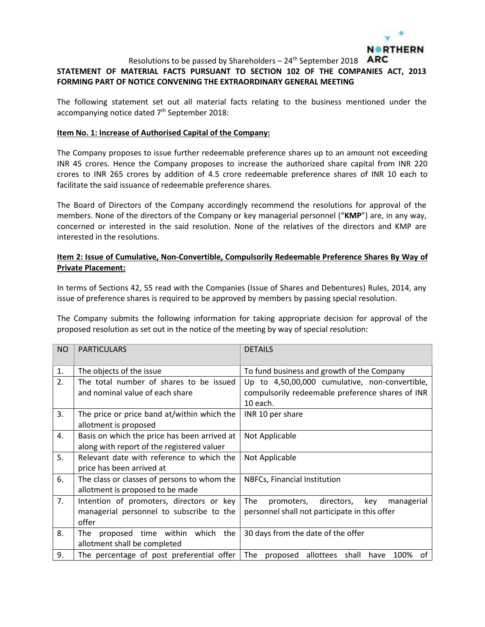

# **STATEMENT OF MATERIAL FACTS PURSUANT TO SECTION 102 OF THE COMPANIES ACT, 2013 FORMING PART OF NOTICE CONVENING THE EXTRAORDINARY GENERAL MEETING**

The following statement set out all material facts relating to the business mentioned under the accompanying notice dated 7<sup>th</sup> September 2018:

#### **Item No. 1: Increase of Authorised Capital of the Company:**

The Company proposes to issue further redeemable preference shares up to an amount not exceeding INR 45 crores. Hence the Company proposes to increase the authorized share capital from INR 220 crores to INR 265 crores by addition of 4.5 crore redeemable preference shares of INR 10 each to facilitate the said issuance of redeemable preference shares.

The Board of Directors of the Company accordingly recommend the resolutions for approval of the members. None of the directors of the Company or key managerial personnel ("**KMP**") are, in any way, concerned or interested in the said resolution. None of the relatives of the directors and KMP are interested in the resolutions.

## **Item 2: Issue of Cumulative, Non-Convertible, Compulsorily Redeemable Preference Shares By Way of Private Placement:**

In terms of Sections 42, 55 read with the Companies (Issue of Shares and Debentures) Rules, 2014, any issue of preference shares is required to be approved by members by passing special resolution.

The Company submits the following information for taking appropriate decision for approval of the proposed resolution as set out in the notice of the meeting by way of special resolution:

| <b>NO</b> | <b>PARTICULARS</b>                                 | <b>DETAILS</b>                                        |  |
|-----------|----------------------------------------------------|-------------------------------------------------------|--|
| 1.        | The objects of the issue                           | To fund business and growth of the Company            |  |
| 2.        | The total number of shares to be issued            | Up to 4,50,00,000 cumulative, non-convertible,        |  |
|           | and nominal value of each share                    | compulsorily redeemable preference shares of INR      |  |
|           |                                                    | 10 each.                                              |  |
| 3.        | The price or price band at/within which the        | INR 10 per share                                      |  |
|           | allotment is proposed                              |                                                       |  |
| 4.        | Basis on which the price has been arrived at       | Not Applicable                                        |  |
|           | along with report of the registered valuer         |                                                       |  |
| 5.        | Relevant date with reference to which the          | Not Applicable                                        |  |
|           | price has been arrived at                          |                                                       |  |
| 6.        | The class or classes of persons to whom the        | NBFCs, Financial Institution                          |  |
|           | allotment is proposed to be made                   |                                                       |  |
| 7.        | Intention of promoters, directors or key           | The<br>directors,<br>key<br>managerial<br>promoters,  |  |
|           | managerial personnel to subscribe to the           | personnel shall not participate in this offer         |  |
|           | offer                                              |                                                       |  |
| 8.        | proposed time within<br>which<br><b>The</b><br>the | 30 days from the date of the offer                    |  |
|           | allotment shall be completed                       |                                                       |  |
| 9.        | The percentage of post preferential offer          | The<br>proposed allottees shall<br>100%<br>have<br>of |  |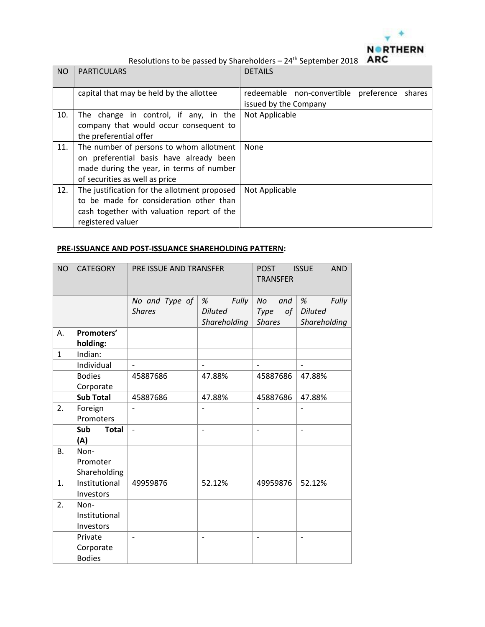

| <b>NO</b> | <b>PARTICULARS</b>                           | <b>DETAILS</b>                                  |  |  |
|-----------|----------------------------------------------|-------------------------------------------------|--|--|
|           | capital that may be held by the allottee     | redeemable non-convertible preference<br>shares |  |  |
|           |                                              | issued by the Company                           |  |  |
| 10.       | The change in control, if any, in the        | Not Applicable                                  |  |  |
|           | company that would occur consequent to       |                                                 |  |  |
|           | the preferential offer                       |                                                 |  |  |
| 11.       | The number of persons to whom allotment      | None                                            |  |  |
|           | on preferential basis have already been      |                                                 |  |  |
|           | made during the year, in terms of number     |                                                 |  |  |
|           | of securities as well as price               |                                                 |  |  |
| 12.       | The justification for the allotment proposed | Not Applicable                                  |  |  |
|           | to be made for consideration other than      |                                                 |  |  |
|           | cash together with valuation report of the   |                                                 |  |  |
|           | registered valuer                            |                                                 |  |  |

# **PRE-ISSUANCE AND POST-ISSUANCE SHAREHOLDING PATTERN:**

| <b>NO</b>    | <b>CATEGORY</b>            | PRE ISSUE AND TRANSFER   |                                | <b>AND</b><br><b>POST</b><br><b>ISSUE</b><br><b>TRANSFER</b> |                                |
|--------------|----------------------------|--------------------------|--------------------------------|--------------------------------------------------------------|--------------------------------|
|              |                            | No and Type of           | Fully<br>%                     | No<br>and                                                    | Fully<br>%                     |
|              |                            | <b>Shares</b>            | <b>Diluted</b><br>Shareholding | Type<br>of<br><b>Shares</b>                                  | <b>Diluted</b><br>Shareholding |
| А.           | Promoters'<br>holding:     |                          |                                |                                                              |                                |
| $\mathbf{1}$ | Indian:                    |                          |                                |                                                              |                                |
|              | Individual                 |                          |                                | $\overline{\phantom{0}}$                                     |                                |
|              | <b>Bodies</b>              | 45887686                 | 47.88%                         | 45887686                                                     | 47.88%                         |
|              | Corporate                  |                          |                                |                                                              |                                |
|              | <b>Sub Total</b>           | 45887686                 | 47.88%                         | 45887686                                                     | 47.88%                         |
| 2.           | Foreign                    |                          |                                |                                                              |                                |
|              | Promoters                  |                          |                                |                                                              |                                |
|              | Sub<br><b>Total</b><br>(A) | $\overline{\phantom{a}}$ | $\overline{\phantom{a}}$       | $\overline{\phantom{a}}$                                     | $\qquad \qquad -$              |
| <b>B.</b>    | Non-                       |                          |                                |                                                              |                                |
|              | Promoter                   |                          |                                |                                                              |                                |
|              | Shareholding               |                          |                                |                                                              |                                |
| 1.           | Institutional              | 49959876                 | 52.12%                         | 49959876                                                     | 52.12%                         |
|              | Investors                  |                          |                                |                                                              |                                |
| 2.           | Non-                       |                          |                                |                                                              |                                |
|              | Institutional              |                          |                                |                                                              |                                |
|              | Investors                  |                          |                                |                                                              |                                |
|              | Private                    | $\overline{\phantom{0}}$ | $\overline{a}$                 | $\qquad \qquad -$                                            | $\overline{\phantom{a}}$       |
|              | Corporate                  |                          |                                |                                                              |                                |
|              | <b>Bodies</b>              |                          |                                |                                                              |                                |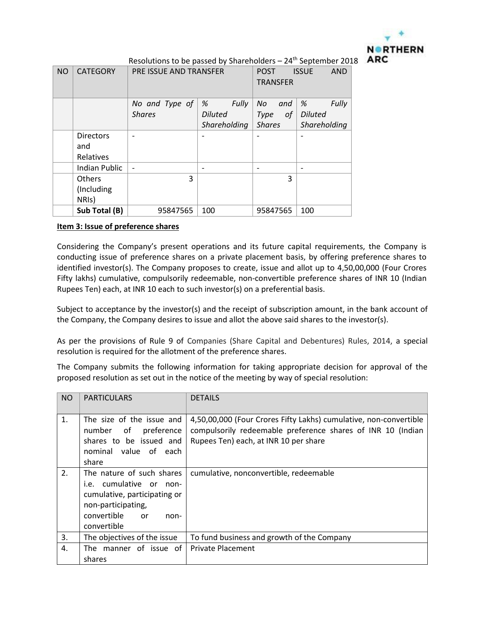

| <b>NO</b> | <b>CATEGORY</b>  | PRE ISSUE AND TRANSFER   |                | <b>POST</b>     | <b>ISSUE</b><br><b>AND</b> |
|-----------|------------------|--------------------------|----------------|-----------------|----------------------------|
|           |                  |                          |                | <b>TRANSFER</b> |                            |
|           |                  |                          |                |                 |                            |
|           |                  | No and Type of           | Fully<br>%     | No<br>and       | Fully<br>%                 |
|           |                  | <b>Shares</b>            | <b>Diluted</b> | Type<br>οf      | <b>Diluted</b>             |
|           |                  |                          | Shareholding   | <b>Shares</b>   | Shareholding               |
|           | <b>Directors</b> |                          |                |                 |                            |
|           | and              |                          |                |                 |                            |
|           | Relatives        |                          |                |                 |                            |
|           | Indian Public    | $\overline{\phantom{a}}$ |                |                 |                            |
|           | Others           | 3                        |                | 3               |                            |
|           | (Including       |                          |                |                 |                            |
|           | NRIS)            |                          |                |                 |                            |
|           | Sub Total (B)    | 95847565                 | 100            | 95847565        | 100                        |

### **Item 3: Issue of preference shares**

Considering the Company's present operations and its future capital requirements, the Company is conducting issue of preference shares on a private placement basis, by offering preference shares to identified investor(s). The Company proposes to create, issue and allot up to 4,50,00,000 (Four Crores Fifty lakhs) cumulative, compulsorily redeemable, non-convertible preference shares of INR 10 (Indian Rupees Ten) each, at INR 10 each to such investor(s) on a preferential basis.

Subject to acceptance by the investor(s) and the receipt of subscription amount, in the bank account of the Company, the Company desires to issue and allot the above said shares to the investor(s).

As per the provisions of Rule 9 of Companies (Share Capital and Debentures) Rules, 2014, a special resolution is required for the allotment of the preference shares.

The Company submits the following information for taking appropriate decision for approval of the proposed resolution as set out in the notice of the meeting by way of special resolution:

| <b>NO</b> | <b>PARTICULARS</b>                                                                                                                                      | <b>DETAILS</b>                                                                                                                                                            |
|-----------|---------------------------------------------------------------------------------------------------------------------------------------------------------|---------------------------------------------------------------------------------------------------------------------------------------------------------------------------|
| 1.        | The size of the issue and<br>of<br>preference<br>number<br>shares to be issued and<br>nominal value of each<br>share                                    | 4,50,00,000 (Four Crores Fifty Lakhs) cumulative, non-convertible<br>compulsorily redeemable preference shares of INR 10 (Indian<br>Rupees Ten) each, at INR 10 per share |
| 2.        | The nature of such shares<br>i.e. cumulative or non-<br>cumulative, participating or<br>non-participating,<br>convertible<br>.or<br>non-<br>convertible | cumulative, nonconvertible, redeemable                                                                                                                                    |
| 3.        | The objectives of the issue                                                                                                                             | To fund business and growth of the Company                                                                                                                                |
| 4.        | The manner of issue of<br>shares                                                                                                                        | <b>Private Placement</b>                                                                                                                                                  |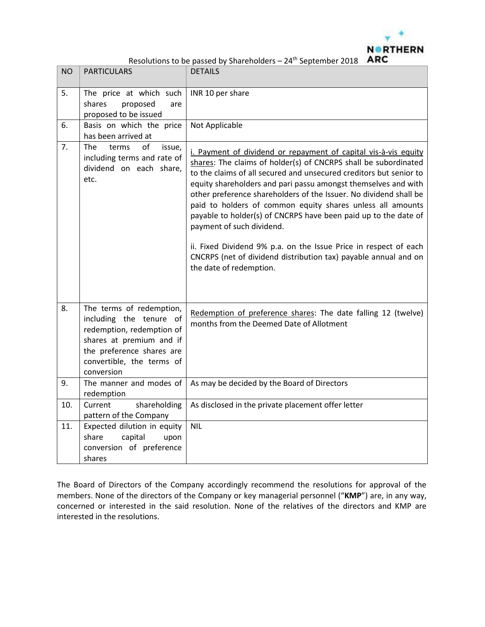

| <b>NO</b> | <b>PARTICULARS</b>                                                                                                                                                                   | <b>DETAILS</b>                                                                                                                                                                                                                                                                                                                                                                                                                                                                                                                                                                                                                                                                  |
|-----------|--------------------------------------------------------------------------------------------------------------------------------------------------------------------------------------|---------------------------------------------------------------------------------------------------------------------------------------------------------------------------------------------------------------------------------------------------------------------------------------------------------------------------------------------------------------------------------------------------------------------------------------------------------------------------------------------------------------------------------------------------------------------------------------------------------------------------------------------------------------------------------|
| 5.        | The price at which such<br>shares<br>proposed<br>are<br>proposed to be issued                                                                                                        | INR 10 per share                                                                                                                                                                                                                                                                                                                                                                                                                                                                                                                                                                                                                                                                |
| 6.        | Basis on which the price<br>has been arrived at                                                                                                                                      | Not Applicable                                                                                                                                                                                                                                                                                                                                                                                                                                                                                                                                                                                                                                                                  |
| 7.        | The<br>οf<br>terms<br>issue,<br>including terms and rate of<br>dividend on each share,<br>etc.                                                                                       | i. Payment of dividend or repayment of capital vis-à-vis equity<br>shares: The claims of holder(s) of CNCRPS shall be subordinated<br>to the claims of all secured and unsecured creditors but senior to<br>equity shareholders and pari passu amongst themselves and with<br>other preference shareholders of the Issuer. No dividend shall be<br>paid to holders of common equity shares unless all amounts<br>payable to holder(s) of CNCRPS have been paid up to the date of<br>payment of such dividend.<br>ii. Fixed Dividend 9% p.a. on the Issue Price in respect of each<br>CNCRPS (net of dividend distribution tax) payable annual and on<br>the date of redemption. |
| 8.        | The terms of redemption,<br>including the tenure of<br>redemption, redemption of<br>shares at premium and if<br>the preference shares are<br>convertible, the terms of<br>conversion | Redemption of preference shares: The date falling 12 (twelve)<br>months from the Deemed Date of Allotment                                                                                                                                                                                                                                                                                                                                                                                                                                                                                                                                                                       |
| 9.        | The manner and modes of<br>redemption                                                                                                                                                | As may be decided by the Board of Directors                                                                                                                                                                                                                                                                                                                                                                                                                                                                                                                                                                                                                                     |
| 10.       | shareholding<br>Current<br>pattern of the Company                                                                                                                                    | As disclosed in the private placement offer letter                                                                                                                                                                                                                                                                                                                                                                                                                                                                                                                                                                                                                              |
| 11.       | Expected dilution in equity<br>share<br>capital<br>upon<br>conversion of preference<br>shares                                                                                        | <b>NIL</b>                                                                                                                                                                                                                                                                                                                                                                                                                                                                                                                                                                                                                                                                      |

The Board of Directors of the Company accordingly recommend the resolutions for approval of the members. None of the directors of the Company or key managerial personnel ("**KMP**") are, in any way, concerned or interested in the said resolution. None of the relatives of the directors and KMP are interested in the resolutions.